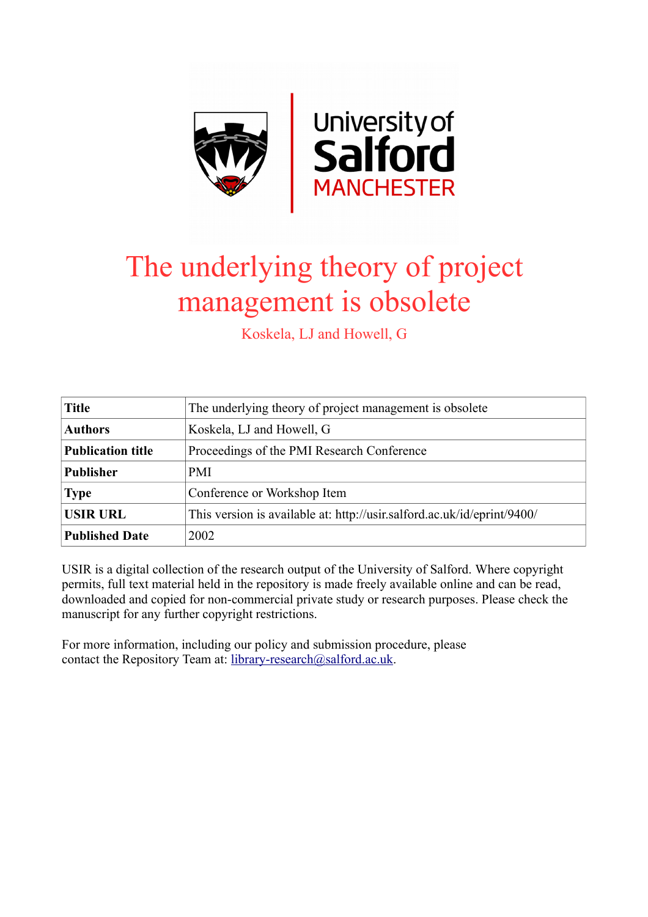

# The underlying theory of project management is obsolete

Koskela, LJ and Howell, G

| <b>Title</b>             | The underlying theory of project management is obsolete                 |  |  |
|--------------------------|-------------------------------------------------------------------------|--|--|
| <b>Authors</b>           | Koskela, LJ and Howell, G                                               |  |  |
| <b>Publication title</b> | Proceedings of the PMI Research Conference                              |  |  |
| <b>Publisher</b>         | <b>PMI</b>                                                              |  |  |
| <b>Type</b>              | Conference or Workshop Item                                             |  |  |
| <b>USIR URL</b>          | This version is available at: http://usir.salford.ac.uk/id/eprint/9400/ |  |  |
| <b>Published Date</b>    | 2002                                                                    |  |  |

USIR is a digital collection of the research output of the University of Salford. Where copyright permits, full text material held in the repository is made freely available online and can be read, downloaded and copied for non-commercial private study or research purposes. Please check the manuscript for any further copyright restrictions.

For more information, including our policy and submission procedure, please contact the Repository Team at: [library-research@salford.ac.uk.](mailto:library-research@salford.ac.uk)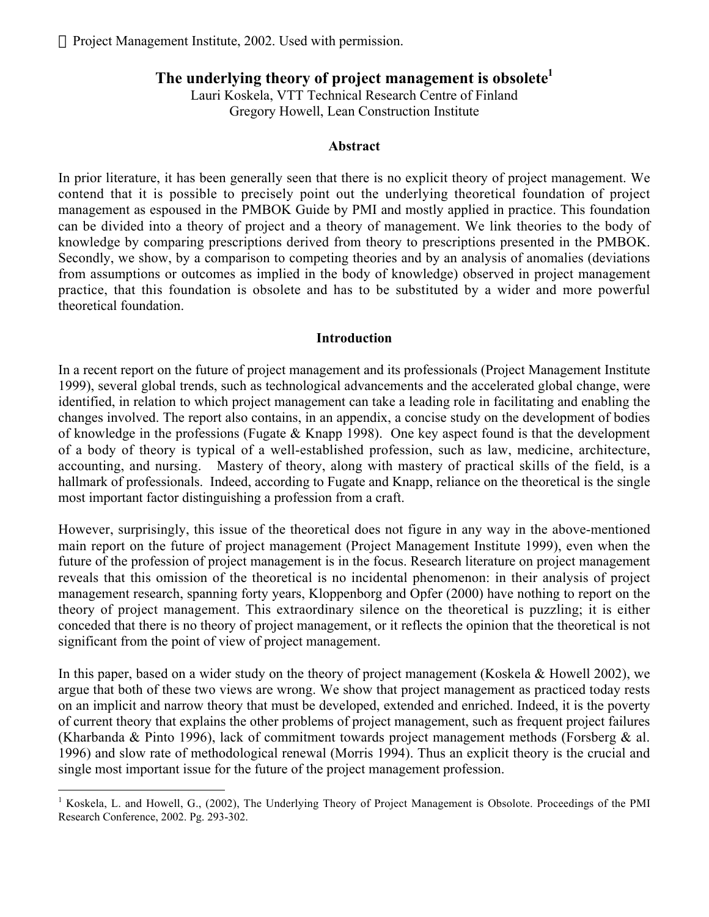# The underlying theory of project management is obsolete<sup>1</sup>

Lauri Koskela, VTT Technical Research Centre of Finland Gregory Howell, Lean Construction Institute

#### **Abstract**

In prior literature, it has been generally seen that there is no explicit theory of project management. We contend that it is possible to precisely point out the underlying theoretical foundation of project management as espoused in the PMBOK Guide by PMI and mostly applied in practice. This foundation can be divided into a theory of project and a theory of management. We link theories to the body of knowledge by comparing prescriptions derived from theory to prescriptions presented in the PMBOK. Secondly, we show, by a comparison to competing theories and by an analysis of anomalies (deviations from assumptions or outcomes as implied in the body of knowledge) observed in project management practice, that this foundation is obsolete and has to be substituted by a wider and more powerful theoretical foundation.

# **Introduction**

In a recent report on the future of project management and its professionals (Project Management Institute 1999), several global trends, such as technological advancements and the accelerated global change, were identified, in relation to which project management can take a leading role in facilitating and enabling the changes involved. The report also contains, in an appendix, a concise study on the development of bodies of knowledge in the professions (Fugate & Knapp 1998). One key aspect found is that the development of a body of theory is typical of a well-established profession, such as law, medicine, architecture, accounting, and nursing. Mastery of theory, along with mastery of practical skills of the field, is a hallmark of professionals. Indeed, according to Fugate and Knapp, reliance on the theoretical is the single most important factor distinguishing a profession from a craft.

However, surprisingly, this issue of the theoretical does not figure in any way in the above-mentioned main report on the future of project management (Project Management Institute 1999), even when the future of the profession of project management is in the focus. Research literature on project management reveals that this omission of the theoretical is no incidental phenomenon: in their analysis of project management research, spanning forty years, Kloppenborg and Opfer (2000) have nothing to report on the theory of project management. This extraordinary silence on the theoretical is puzzling; it is either conceded that there is no theory of project management, or it reflects the opinion that the theoretical is not significant from the point of view of project management.

In this paper, based on a wider study on the theory of project management (Koskela & Howell 2002), we argue that both of these two views are wrong. We show that project management as practiced today rests on an implicit and narrow theory that must be developed, extended and enriched. Indeed, it is the poverty of current theory that explains the other problems of project management, such as frequent project failures (Kharbanda & Pinto 1996), lack of commitment towards project management methods (Forsberg & al. 1996) and slow rate of methodological renewal (Morris 1994). Thus an explicit theory is the crucial and single most important issue for the future of the project management profession.

 <sup>1</sup> Koskela, L. and Howell, G., (2002), The Underlying Theory of Project Management is Obsolote. Proceedings of the PMI Research Conference, 2002. Pg. 293-302.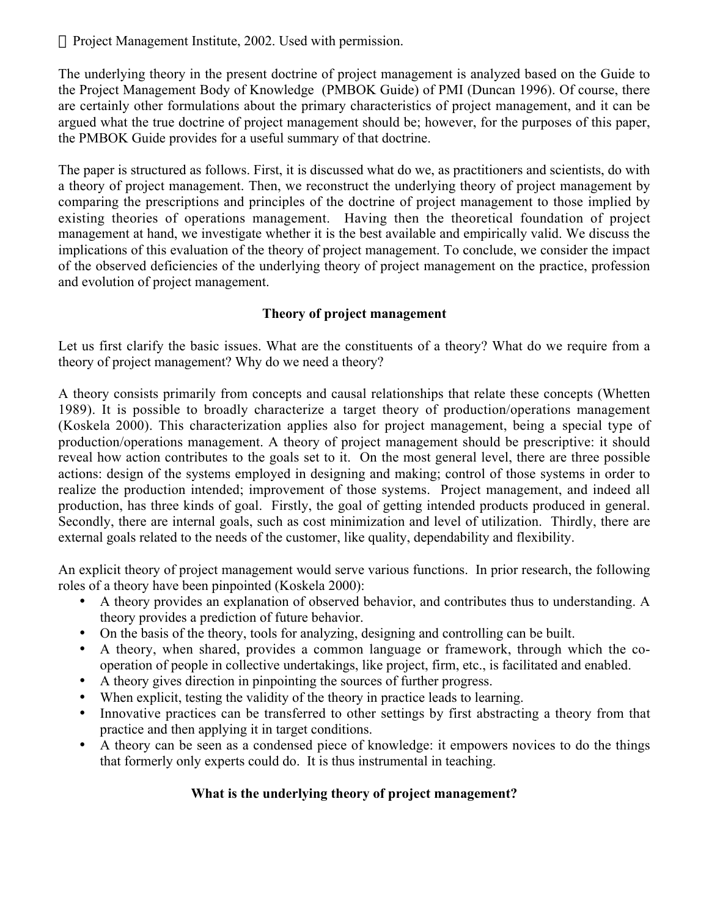The underlying theory in the present doctrine of project management is analyzed based on the Guide to the Project Management Body of Knowledge (PMBOK Guide) of PMI (Duncan 1996). Of course, there are certainly other formulations about the primary characteristics of project management, and it can be argued what the true doctrine of project management should be; however, for the purposes of this paper, the PMBOK Guide provides for a useful summary of that doctrine.

The paper is structured as follows. First, it is discussed what do we, as practitioners and scientists, do with a theory of project management. Then, we reconstruct the underlying theory of project management by comparing the prescriptions and principles of the doctrine of project management to those implied by existing theories of operations management. Having then the theoretical foundation of project management at hand, we investigate whether it is the best available and empirically valid. We discuss the implications of this evaluation of the theory of project management. To conclude, we consider the impact of the observed deficiencies of the underlying theory of project management on the practice, profession and evolution of project management.

# **Theory of project management**

Let us first clarify the basic issues. What are the constituents of a theory? What do we require from a theory of project management? Why do we need a theory?

A theory consists primarily from concepts and causal relationships that relate these concepts (Whetten 1989). It is possible to broadly characterize a target theory of production/operations management (Koskela 2000). This characterization applies also for project management, being a special type of production/operations management. A theory of project management should be prescriptive: it should reveal how action contributes to the goals set to it. On the most general level, there are three possible actions: design of the systems employed in designing and making; control of those systems in order to realize the production intended; improvement of those systems. Project management, and indeed all production, has three kinds of goal. Firstly, the goal of getting intended products produced in general. Secondly, there are internal goals, such as cost minimization and level of utilization. Thirdly, there are external goals related to the needs of the customer, like quality, dependability and flexibility.

An explicit theory of project management would serve various functions. In prior research, the following roles of a theory have been pinpointed (Koskela 2000):

A theory provides an explanation of observed behavior, and contributes thus to understanding. A theory provides a prediction of future behavior.

On the basis of the theory, tools for analyzing, designing and controlling can be built.

A theory, when shared, provides a common language or framework, through which the cooperation of people in collective undertakings, like project, firm, etc., is facilitated and enabled.

A theory gives direction in pinpointing the sources of further progress.

When explicit, testing the validity of the theory in practice leads to learning.

Innovative practices can be transferred to other settings by first abstracting a theory from that practice and then applying it in target conditions.

A theory can be seen as a condensed piece of knowledge: it empowers novices to do the things that formerly only experts could do. It is thus instrumental in teaching.

# **What is the underlying theory of project management?**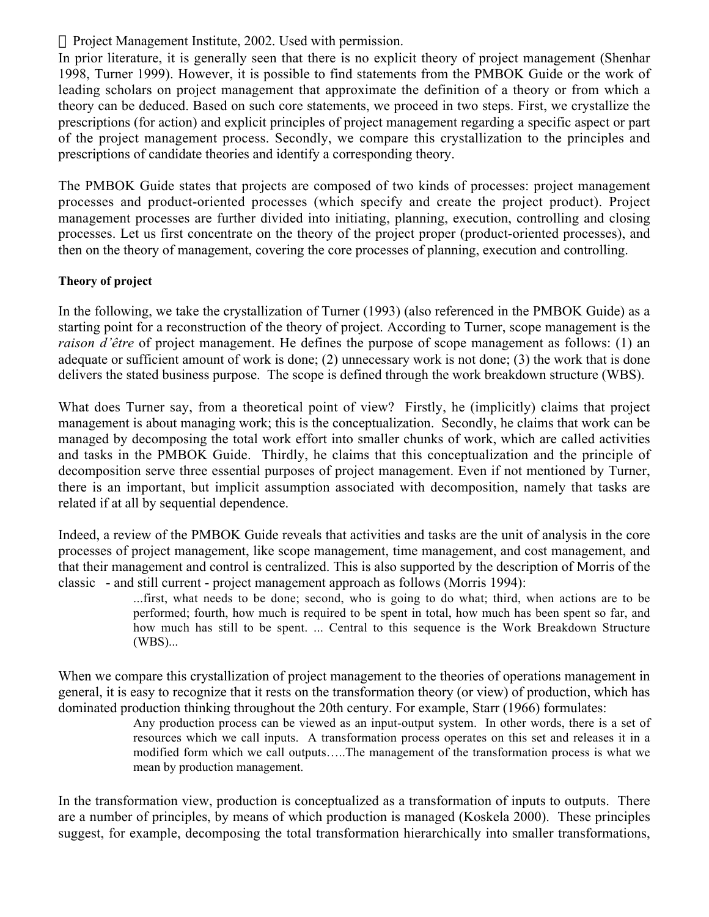In prior literature, it is generally seen that there is no explicit theory of project management (Shenhar 1998, Turner 1999). However, it is possible to find statements from the PMBOK Guide or the work of leading scholars on project management that approximate the definition of a theory or from which a theory can be deduced. Based on such core statements, we proceed in two steps. First, we crystallize the prescriptions (for action) and explicit principles of project management regarding a specific aspect or part of the project management process. Secondly, we compare this crystallization to the principles and prescriptions of candidate theories and identify a corresponding theory.

The PMBOK Guide states that projects are composed of two kinds of processes: project management processes and product-oriented processes (which specify and create the project product). Project management processes are further divided into initiating, planning, execution, controlling and closing processes. Let us first concentrate on the theory of the project proper (product-oriented processes), and then on the theory of management, covering the core processes of planning, execution and controlling.

# **Theory of project**

In the following, we take the crystallization of Turner (1993) (also referenced in the PMBOK Guide) as a starting point for a reconstruction of the theory of project. According to Turner, scope management is the *raison d'être* of project management. He defines the purpose of scope management as follows: (1) an adequate or sufficient amount of work is done; (2) unnecessary work is not done; (3) the work that is done delivers the stated business purpose. The scope is defined through the work breakdown structure (WBS).

What does Turner say, from a theoretical point of view? Firstly, he (implicitly) claims that project management is about managing work; this is the conceptualization. Secondly, he claims that work can be managed by decomposing the total work effort into smaller chunks of work, which are called activities and tasks in the PMBOK Guide. Thirdly, he claims that this conceptualization and the principle of decomposition serve three essential purposes of project management. Even if not mentioned by Turner, there is an important, but implicit assumption associated with decomposition, namely that tasks are related if at all by sequential dependence.

Indeed, a review of the PMBOK Guide reveals that activities and tasks are the unit of analysis in the core processes of project management, like scope management, time management, and cost management, and that their management and control is centralized. This is also supported by the description of Morris of the classic - and still current - project management approach as follows (Morris 1994):

...first, what needs to be done; second, who is going to do what; third, when actions are to be performed; fourth, how much is required to be spent in total, how much has been spent so far, and how much has still to be spent. ... Central to this sequence is the Work Breakdown Structure (WBS)...

When we compare this crystallization of project management to the theories of operations management in general, it is easy to recognize that it rests on the transformation theory (or view) of production, which has dominated production thinking throughout the 20th century. For example, Starr (1966) formulates:

Any production process can be viewed as an input-output system. In other words, there is a set of resources which we call inputs. A transformation process operates on this set and releases it in a modified form which we call outputs…..The management of the transformation process is what we mean by production management.

In the transformation view, production is conceptualized as a transformation of inputs to outputs. There are a number of principles, by means of which production is managed (Koskela 2000). These principles suggest, for example, decomposing the total transformation hierarchically into smaller transformations,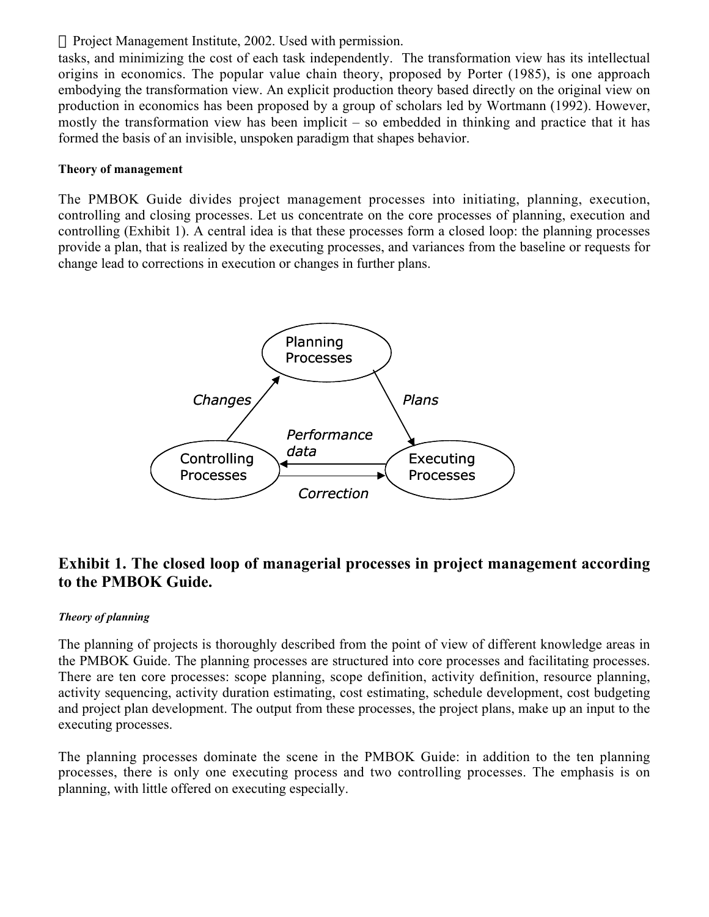tasks, and minimizing the cost of each task independently. The transformation view has its intellectual origins in economics. The popular value chain theory, proposed by Porter (1985), is one approach embodying the transformation view. An explicit production theory based directly on the original view on production in economics has been proposed by a group of scholars led by Wortmann (1992). However, mostly the transformation view has been implicit – so embedded in thinking and practice that it has formed the basis of an invisible, unspoken paradigm that shapes behavior.

#### **Theory of management**

The PMBOK Guide divides project management processes into initiating, planning, execution, controlling and closing processes. Let us concentrate on the core processes of planning, execution and controlling (Exhibit 1). A central idea is that these processes form a closed loop: the planning processes provide a plan, that is realized by the executing processes, and variances from the baseline or requests for change lead to corrections in execution or changes in further plans.



# **Exhibit 1. The closed loop of managerial processes in project management according to the PMBOK Guide.**

# *Theory of planning*

The planning of projects is thoroughly described from the point of view of different knowledge areas in the PMBOK Guide. The planning processes are structured into core processes and facilitating processes. There are ten core processes: scope planning, scope definition, activity definition, resource planning, activity sequencing, activity duration estimating, cost estimating, schedule development, cost budgeting and project plan development. The output from these processes, the project plans, make up an input to the executing processes.

The planning processes dominate the scene in the PMBOK Guide: in addition to the ten planning processes, there is only one executing process and two controlling processes. The emphasis is on planning, with little offered on executing especially.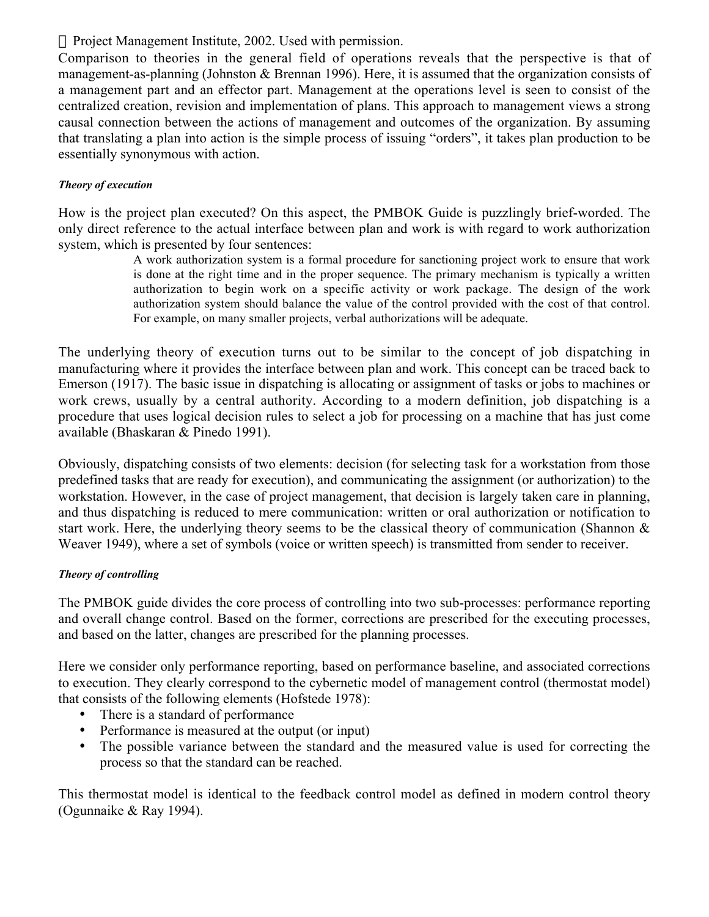Comparison to theories in the general field of operations reveals that the perspective is that of management-as-planning (Johnston & Brennan 1996). Here, it is assumed that the organization consists of a management part and an effector part. Management at the operations level is seen to consist of the centralized creation, revision and implementation of plans. This approach to management views a strong causal connection between the actions of management and outcomes of the organization. By assuming that translating a plan into action is the simple process of issuing "orders", it takes plan production to be essentially synonymous with action.

#### *Theory of execution*

How is the project plan executed? On this aspect, the PMBOK Guide is puzzlingly brief-worded. The only direct reference to the actual interface between plan and work is with regard to work authorization system, which is presented by four sentences:

A work authorization system is a formal procedure for sanctioning project work to ensure that work is done at the right time and in the proper sequence. The primary mechanism is typically a written authorization to begin work on a specific activity or work package. The design of the work authorization system should balance the value of the control provided with the cost of that control. For example, on many smaller projects, verbal authorizations will be adequate.

The underlying theory of execution turns out to be similar to the concept of job dispatching in manufacturing where it provides the interface between plan and work. This concept can be traced back to Emerson (1917). The basic issue in dispatching is allocating or assignment of tasks or jobs to machines or work crews, usually by a central authority. According to a modern definition, job dispatching is a procedure that uses logical decision rules to select a job for processing on a machine that has just come available (Bhaskaran & Pinedo 1991).

Obviously, dispatching consists of two elements: decision (for selecting task for a workstation from those predefined tasks that are ready for execution), and communicating the assignment (or authorization) to the workstation. However, in the case of project management, that decision is largely taken care in planning, and thus dispatching is reduced to mere communication: written or oral authorization or notification to start work. Here, the underlying theory seems to be the classical theory of communication (Shannon & Weaver 1949), where a set of symbols (voice or written speech) is transmitted from sender to receiver.

# *Theory of controlling*

The PMBOK guide divides the core process of controlling into two sub-processes: performance reporting and overall change control. Based on the former, corrections are prescribed for the executing processes, and based on the latter, changes are prescribed for the planning processes.

Here we consider only performance reporting, based on performance baseline, and associated corrections to execution. They clearly correspond to the cybernetic model of management control (thermostat model) that consists of the following elements (Hofstede 1978):

There is a standard of performance

Performance is measured at the output (or input)

The possible variance between the standard and the measured value is used for correcting the process so that the standard can be reached.

This thermostat model is identical to the feedback control model as defined in modern control theory (Ogunnaike & Ray 1994).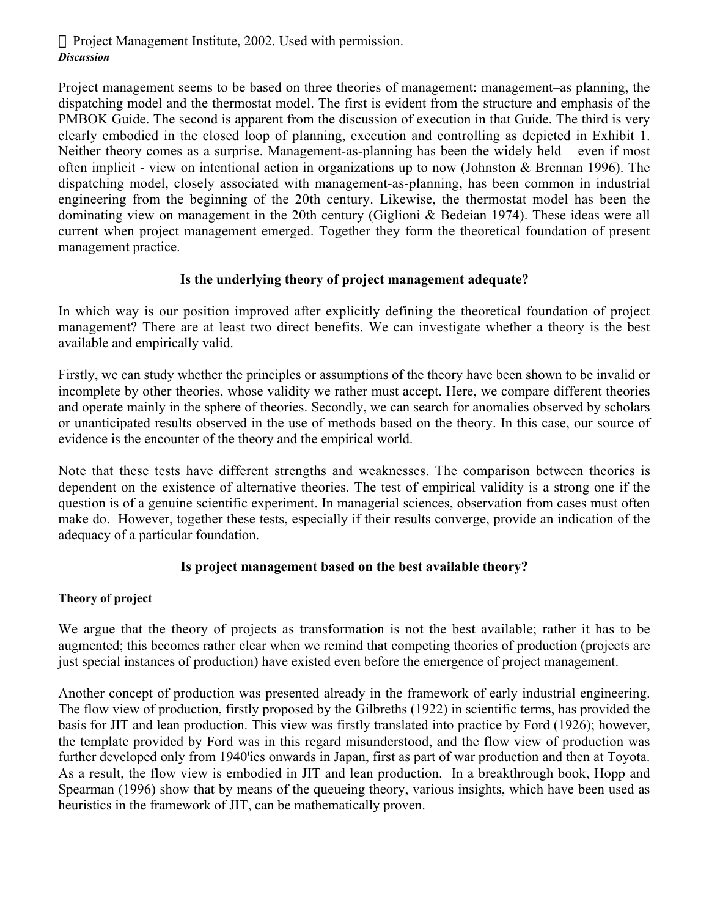Project management seems to be based on three theories of management: management–as planning, the dispatching model and the thermostat model. The first is evident from the structure and emphasis of the PMBOK Guide. The second is apparent from the discussion of execution in that Guide. The third is very clearly embodied in the closed loop of planning, execution and controlling as depicted in Exhibit 1. Neither theory comes as a surprise. Management-as-planning has been the widely held – even if most often implicit - view on intentional action in organizations up to now (Johnston & Brennan 1996). The dispatching model, closely associated with management-as-planning, has been common in industrial engineering from the beginning of the 20th century. Likewise, the thermostat model has been the dominating view on management in the 20th century (Giglioni & Bedeian 1974). These ideas were all current when project management emerged. Together they form the theoretical foundation of present management practice.

# **Is the underlying theory of project management adequate?**

In which way is our position improved after explicitly defining the theoretical foundation of project management? There are at least two direct benefits. We can investigate whether a theory is the best available and empirically valid.

Firstly, we can study whether the principles or assumptions of the theory have been shown to be invalid or incomplete by other theories, whose validity we rather must accept. Here, we compare different theories and operate mainly in the sphere of theories. Secondly, we can search for anomalies observed by scholars or unanticipated results observed in the use of methods based on the theory. In this case, our source of evidence is the encounter of the theory and the empirical world.

Note that these tests have different strengths and weaknesses. The comparison between theories is dependent on the existence of alternative theories. The test of empirical validity is a strong one if the question is of a genuine scientific experiment. In managerial sciences, observation from cases must often make do. However, together these tests, especially if their results converge, provide an indication of the adequacy of a particular foundation.

# **Is project management based on the best available theory?**

#### **Theory of project**

We argue that the theory of projects as transformation is not the best available; rather it has to be augmented; this becomes rather clear when we remind that competing theories of production (projects are just special instances of production) have existed even before the emergence of project management.

Another concept of production was presented already in the framework of early industrial engineering. The flow view of production, firstly proposed by the Gilbreths (1922) in scientific terms, has provided the basis for JIT and lean production. This view was firstly translated into practice by Ford (1926); however, the template provided by Ford was in this regard misunderstood, and the flow view of production was further developed only from 1940'ies onwards in Japan, first as part of war production and then at Toyota. As a result, the flow view is embodied in JIT and lean production. In a breakthrough book, Hopp and Spearman (1996) show that by means of the queueing theory, various insights, which have been used as heuristics in the framework of JIT, can be mathematically proven.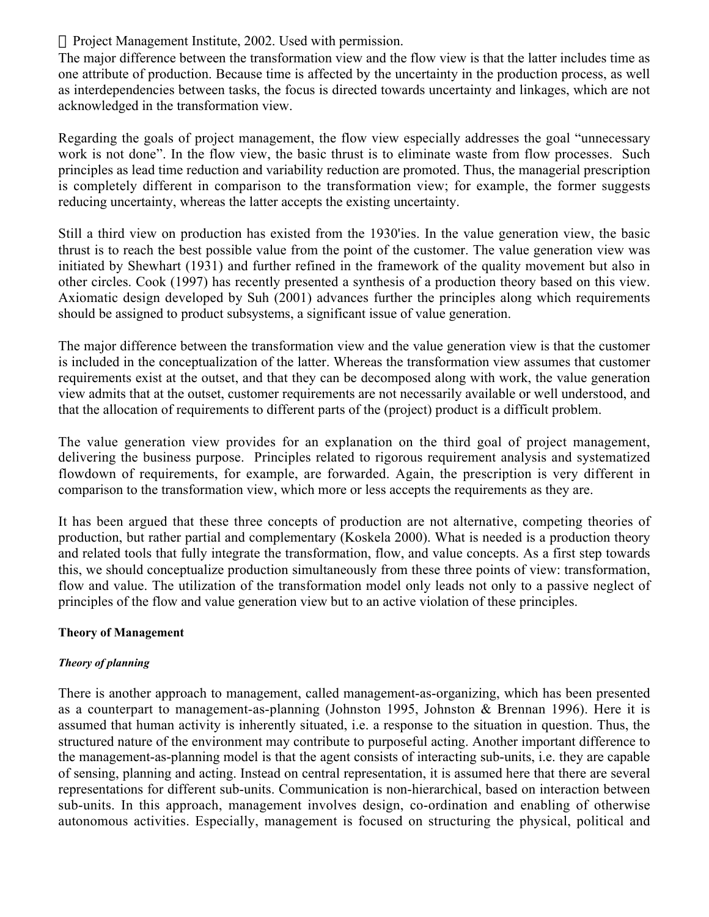The major difference between the transformation view and the flow view is that the latter includes time as one attribute of production. Because time is affected by the uncertainty in the production process, as well as interdependencies between tasks, the focus is directed towards uncertainty and linkages, which are not acknowledged in the transformation view.

Regarding the goals of project management, the flow view especially addresses the goal "unnecessary work is not done". In the flow view, the basic thrust is to eliminate waste from flow processes. Such principles as lead time reduction and variability reduction are promoted. Thus, the managerial prescription is completely different in comparison to the transformation view; for example, the former suggests reducing uncertainty, whereas the latter accepts the existing uncertainty.

Still a third view on production has existed from the 1930'ies. In the value generation view, the basic thrust is to reach the best possible value from the point of the customer. The value generation view was initiated by Shewhart (1931) and further refined in the framework of the quality movement but also in other circles. Cook (1997) has recently presented a synthesis of a production theory based on this view. Axiomatic design developed by Suh (2001) advances further the principles along which requirements should be assigned to product subsystems, a significant issue of value generation.

The major difference between the transformation view and the value generation view is that the customer is included in the conceptualization of the latter. Whereas the transformation view assumes that customer requirements exist at the outset, and that they can be decomposed along with work, the value generation view admits that at the outset, customer requirements are not necessarily available or well understood, and that the allocation of requirements to different parts of the (project) product is a difficult problem.

The value generation view provides for an explanation on the third goal of project management, delivering the business purpose. Principles related to rigorous requirement analysis and systematized flowdown of requirements, for example, are forwarded. Again, the prescription is very different in comparison to the transformation view, which more or less accepts the requirements as they are.

It has been argued that these three concepts of production are not alternative, competing theories of production, but rather partial and complementary (Koskela 2000). What is needed is a production theory and related tools that fully integrate the transformation, flow, and value concepts. As a first step towards this, we should conceptualize production simultaneously from these three points of view: transformation, flow and value. The utilization of the transformation model only leads not only to a passive neglect of principles of the flow and value generation view but to an active violation of these principles.

# **Theory of Management**

# *Theory of planning*

There is another approach to management, called management-as-organizing, which has been presented as a counterpart to management-as-planning (Johnston 1995, Johnston & Brennan 1996). Here it is assumed that human activity is inherently situated, i.e. a response to the situation in question. Thus, the structured nature of the environment may contribute to purposeful acting. Another important difference to the management-as-planning model is that the agent consists of interacting sub-units, i.e. they are capable of sensing, planning and acting. Instead on central representation, it is assumed here that there are several representations for different sub-units. Communication is non-hierarchical, based on interaction between sub-units. In this approach, management involves design, co-ordination and enabling of otherwise autonomous activities. Especially, management is focused on structuring the physical, political and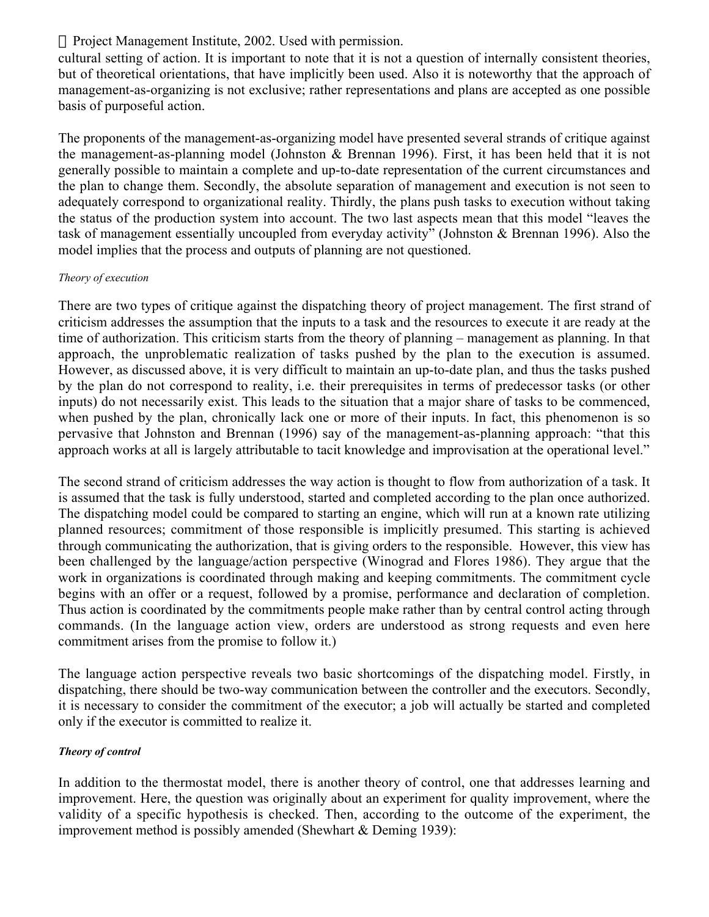cultural setting of action. It is important to note that it is not a question of internally consistent theories, but of theoretical orientations, that have implicitly been used. Also it is noteworthy that the approach of management-as-organizing is not exclusive; rather representations and plans are accepted as one possible basis of purposeful action.

The proponents of the management-as-organizing model have presented several strands of critique against the management-as-planning model (Johnston & Brennan 1996). First, it has been held that it is not generally possible to maintain a complete and up-to-date representation of the current circumstances and the plan to change them. Secondly, the absolute separation of management and execution is not seen to adequately correspond to organizational reality. Thirdly, the plans push tasks to execution without taking the status of the production system into account. The two last aspects mean that this model "leaves the task of management essentially uncoupled from everyday activity" (Johnston & Brennan 1996). Also the model implies that the process and outputs of planning are not questioned.

#### *Theory of execution*

There are two types of critique against the dispatching theory of project management. The first strand of criticism addresses the assumption that the inputs to a task and the resources to execute it are ready at the time of authorization. This criticism starts from the theory of planning – management as planning. In that approach, the unproblematic realization of tasks pushed by the plan to the execution is assumed. However, as discussed above, it is very difficult to maintain an up-to-date plan, and thus the tasks pushed by the plan do not correspond to reality, i.e. their prerequisites in terms of predecessor tasks (or other inputs) do not necessarily exist. This leads to the situation that a major share of tasks to be commenced, when pushed by the plan, chronically lack one or more of their inputs. In fact, this phenomenon is so pervasive that Johnston and Brennan (1996) say of the management-as-planning approach: "that this approach works at all is largely attributable to tacit knowledge and improvisation at the operational level."

The second strand of criticism addresses the way action is thought to flow from authorization of a task. It is assumed that the task is fully understood, started and completed according to the plan once authorized. The dispatching model could be compared to starting an engine, which will run at a known rate utilizing planned resources; commitment of those responsible is implicitly presumed. This starting is achieved through communicating the authorization, that is giving orders to the responsible. However, this view has been challenged by the language/action perspective (Winograd and Flores 1986). They argue that the work in organizations is coordinated through making and keeping commitments. The commitment cycle begins with an offer or a request, followed by a promise, performance and declaration of completion. Thus action is coordinated by the commitments people make rather than by central control acting through commands. (In the language action view, orders are understood as strong requests and even here commitment arises from the promise to follow it.)

The language action perspective reveals two basic shortcomings of the dispatching model. Firstly, in dispatching, there should be two-way communication between the controller and the executors. Secondly, it is necessary to consider the commitment of the executor; a job will actually be started and completed only if the executor is committed to realize it.

#### *Theory of control*

In addition to the thermostat model, there is another theory of control, one that addresses learning and improvement. Here, the question was originally about an experiment for quality improvement, where the validity of a specific hypothesis is checked. Then, according to the outcome of the experiment, the improvement method is possibly amended (Shewhart & Deming 1939):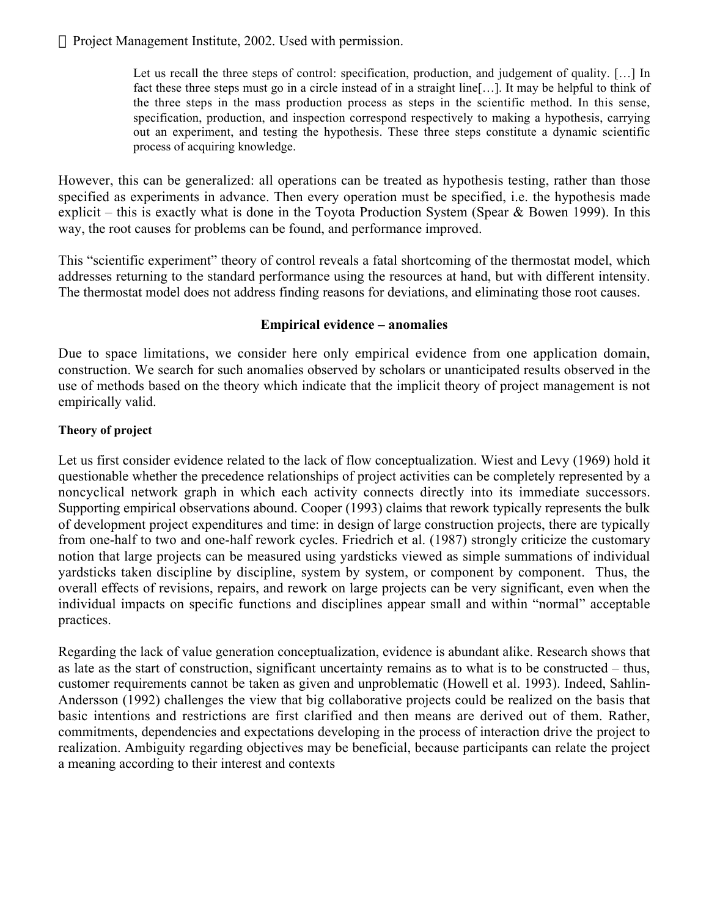Let us recall the three steps of control: specification, production, and judgement of quality. [...] In fact these three steps must go in a circle instead of in a straight line[…]. It may be helpful to think of the three steps in the mass production process as steps in the scientific method. In this sense, specification, production, and inspection correspond respectively to making a hypothesis, carrying out an experiment, and testing the hypothesis. These three steps constitute a dynamic scientific process of acquiring knowledge.

However, this can be generalized: all operations can be treated as hypothesis testing, rather than those specified as experiments in advance. Then every operation must be specified, i.e. the hypothesis made explicit – this is exactly what is done in the Toyota Production System (Spear & Bowen 1999). In this way, the root causes for problems can be found, and performance improved.

This "scientific experiment" theory of control reveals a fatal shortcoming of the thermostat model, which addresses returning to the standard performance using the resources at hand, but with different intensity. The thermostat model does not address finding reasons for deviations, and eliminating those root causes.

#### **Empirical evidence – anomalies**

Due to space limitations, we consider here only empirical evidence from one application domain, construction. We search for such anomalies observed by scholars or unanticipated results observed in the use of methods based on the theory which indicate that the implicit theory of project management is not empirically valid.

#### **Theory of project**

Let us first consider evidence related to the lack of flow conceptualization. Wiest and Levy (1969) hold it questionable whether the precedence relationships of project activities can be completely represented by a noncyclical network graph in which each activity connects directly into its immediate successors. Supporting empirical observations abound. Cooper (1993) claims that rework typically represents the bulk of development project expenditures and time: in design of large construction projects, there are typically from one-half to two and one-half rework cycles. Friedrich et al. (1987) strongly criticize the customary notion that large projects can be measured using yardsticks viewed as simple summations of individual yardsticks taken discipline by discipline, system by system, or component by component. Thus, the overall effects of revisions, repairs, and rework on large projects can be very significant, even when the individual impacts on specific functions and disciplines appear small and within "normal" acceptable practices.

Regarding the lack of value generation conceptualization, evidence is abundant alike. Research shows that as late as the start of construction, significant uncertainty remains as to what is to be constructed – thus, customer requirements cannot be taken as given and unproblematic (Howell et al. 1993). Indeed, Sahlin-Andersson (1992) challenges the view that big collaborative projects could be realized on the basis that basic intentions and restrictions are first clarified and then means are derived out of them. Rather, commitments, dependencies and expectations developing in the process of interaction drive the project to realization. Ambiguity regarding objectives may be beneficial, because participants can relate the project a meaning according to their interest and contexts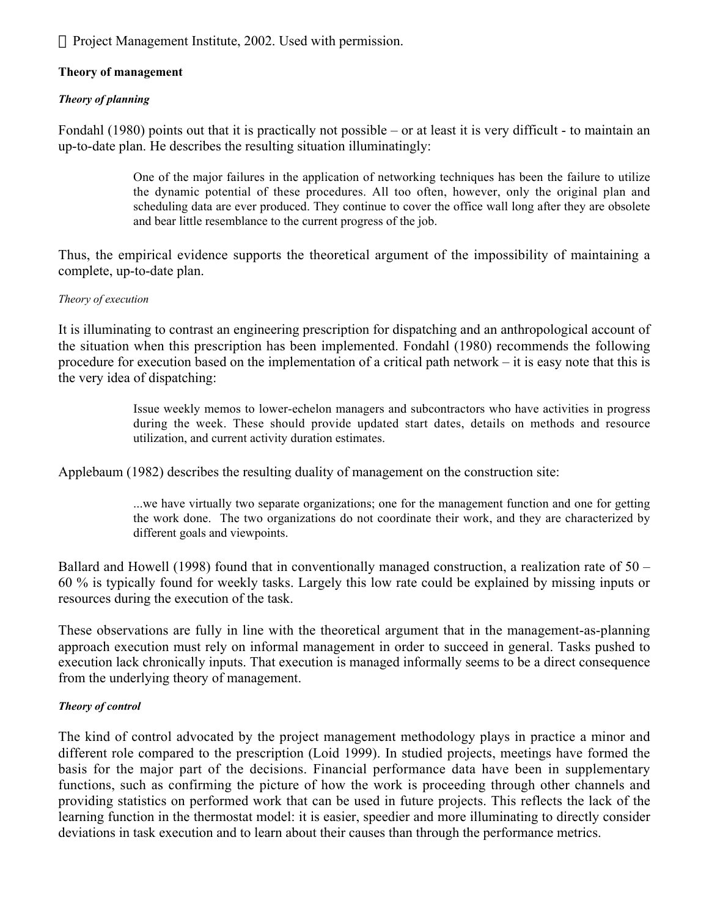#### **Theory of management**

#### *Theory of planning*

Fondahl (1980) points out that it is practically not possible – or at least it is very difficult - to maintain an up-to-date plan. He describes the resulting situation illuminatingly:

> One of the major failures in the application of networking techniques has been the failure to utilize the dynamic potential of these procedures. All too often, however, only the original plan and scheduling data are ever produced. They continue to cover the office wall long after they are obsolete and bear little resemblance to the current progress of the job.

Thus, the empirical evidence supports the theoretical argument of the impossibility of maintaining a complete, up-to-date plan.

#### *Theory of execution*

It is illuminating to contrast an engineering prescription for dispatching and an anthropological account of the situation when this prescription has been implemented. Fondahl (1980) recommends the following procedure for execution based on the implementation of a critical path network – it is easy note that this is the very idea of dispatching:

> Issue weekly memos to lower-echelon managers and subcontractors who have activities in progress during the week. These should provide updated start dates, details on methods and resource utilization, and current activity duration estimates.

Applebaum (1982) describes the resulting duality of management on the construction site:

...we have virtually two separate organizations; one for the management function and one for getting the work done. The two organizations do not coordinate their work, and they are characterized by different goals and viewpoints.

Ballard and Howell (1998) found that in conventionally managed construction, a realization rate of 50 – 60 % is typically found for weekly tasks. Largely this low rate could be explained by missing inputs or resources during the execution of the task.

These observations are fully in line with the theoretical argument that in the management-as-planning approach execution must rely on informal management in order to succeed in general. Tasks pushed to execution lack chronically inputs. That execution is managed informally seems to be a direct consequence from the underlying theory of management.

#### *Theory of control*

The kind of control advocated by the project management methodology plays in practice a minor and different role compared to the prescription (Loid 1999). In studied projects, meetings have formed the basis for the major part of the decisions. Financial performance data have been in supplementary functions, such as confirming the picture of how the work is proceeding through other channels and providing statistics on performed work that can be used in future projects. This reflects the lack of the learning function in the thermostat model: it is easier, speedier and more illuminating to directly consider deviations in task execution and to learn about their causes than through the performance metrics.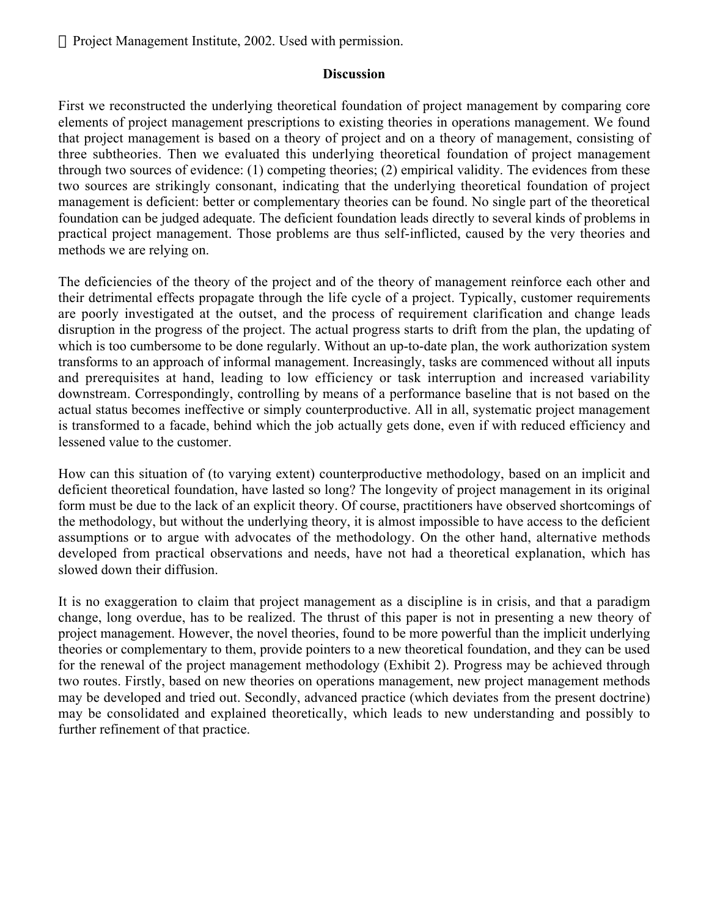#### **Discussion**

First we reconstructed the underlying theoretical foundation of project management by comparing core elements of project management prescriptions to existing theories in operations management. We found that project management is based on a theory of project and on a theory of management, consisting of three subtheories. Then we evaluated this underlying theoretical foundation of project management through two sources of evidence: (1) competing theories; (2) empirical validity. The evidences from these two sources are strikingly consonant, indicating that the underlying theoretical foundation of project management is deficient: better or complementary theories can be found. No single part of the theoretical foundation can be judged adequate. The deficient foundation leads directly to several kinds of problems in practical project management. Those problems are thus self-inflicted, caused by the very theories and methods we are relying on.

The deficiencies of the theory of the project and of the theory of management reinforce each other and their detrimental effects propagate through the life cycle of a project. Typically, customer requirements are poorly investigated at the outset, and the process of requirement clarification and change leads disruption in the progress of the project. The actual progress starts to drift from the plan, the updating of which is too cumbersome to be done regularly. Without an up-to-date plan, the work authorization system transforms to an approach of informal management. Increasingly, tasks are commenced without all inputs and prerequisites at hand, leading to low efficiency or task interruption and increased variability downstream. Correspondingly, controlling by means of a performance baseline that is not based on the actual status becomes ineffective or simply counterproductive. All in all, systematic project management is transformed to a facade, behind which the job actually gets done, even if with reduced efficiency and lessened value to the customer.

How can this situation of (to varying extent) counterproductive methodology, based on an implicit and deficient theoretical foundation, have lasted so long? The longevity of project management in its original form must be due to the lack of an explicit theory. Of course, practitioners have observed shortcomings of the methodology, but without the underlying theory, it is almost impossible to have access to the deficient assumptions or to argue with advocates of the methodology. On the other hand, alternative methods developed from practical observations and needs, have not had a theoretical explanation, which has slowed down their diffusion.

It is no exaggeration to claim that project management as a discipline is in crisis, and that a paradigm change, long overdue, has to be realized. The thrust of this paper is not in presenting a new theory of project management. However, the novel theories, found to be more powerful than the implicit underlying theories or complementary to them, provide pointers to a new theoretical foundation, and they can be used for the renewal of the project management methodology (Exhibit 2). Progress may be achieved through two routes. Firstly, based on new theories on operations management, new project management methods may be developed and tried out. Secondly, advanced practice (which deviates from the present doctrine) may be consolidated and explained theoretically, which leads to new understanding and possibly to further refinement of that practice.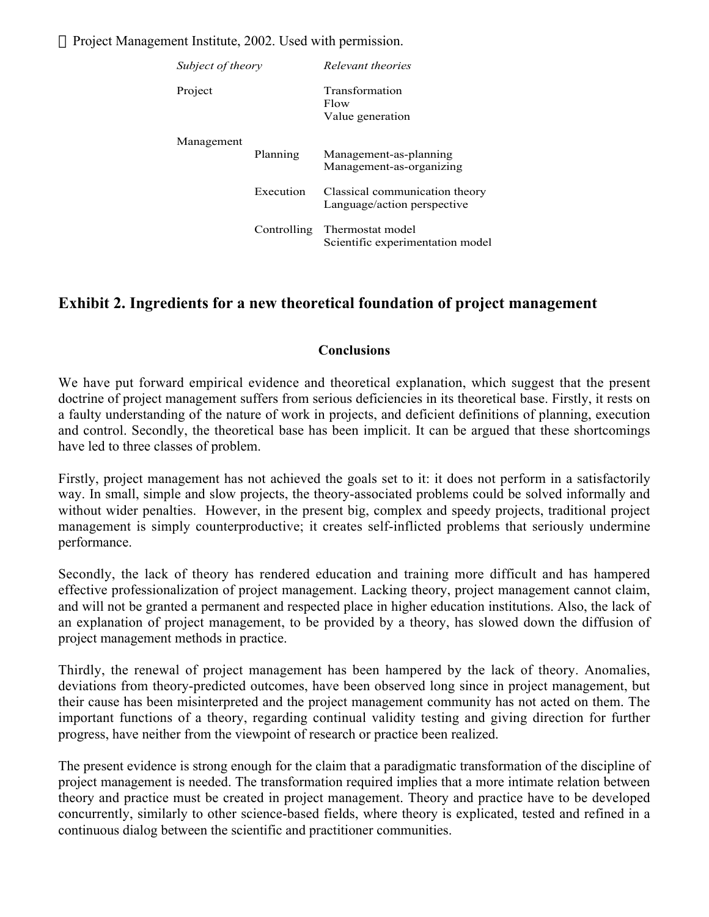| Subject of theory |           | Relevant theories                                                |  |
|-------------------|-----------|------------------------------------------------------------------|--|
| Project           |           | <b>Transformation</b><br>Flow<br>Value generation                |  |
| Management        | Planning  | Management-as-planning<br>Management-as-organizing               |  |
|                   | Execution | Classical communication theory<br>Language/action perspective    |  |
|                   |           | Controlling Thermostat model<br>Scientific experimentation model |  |

# **Exhibit 2. Ingredients for a new theoretical foundation of project management**

#### **Conclusions**

We have put forward empirical evidence and theoretical explanation, which suggest that the present doctrine of project management suffers from serious deficiencies in its theoretical base. Firstly, it rests on a faulty understanding of the nature of work in projects, and deficient definitions of planning, execution and control. Secondly, the theoretical base has been implicit. It can be argued that these shortcomings have led to three classes of problem.

Firstly, project management has not achieved the goals set to it: it does not perform in a satisfactorily way. In small, simple and slow projects, the theory-associated problems could be solved informally and without wider penalties. However, in the present big, complex and speedy projects, traditional project management is simply counterproductive; it creates self-inflicted problems that seriously undermine performance.

Secondly, the lack of theory has rendered education and training more difficult and has hampered effective professionalization of project management. Lacking theory, project management cannot claim, and will not be granted a permanent and respected place in higher education institutions. Also, the lack of an explanation of project management, to be provided by a theory, has slowed down the diffusion of project management methods in practice.

Thirdly, the renewal of project management has been hampered by the lack of theory. Anomalies, deviations from theory-predicted outcomes, have been observed long since in project management, but their cause has been misinterpreted and the project management community has not acted on them. The important functions of a theory, regarding continual validity testing and giving direction for further progress, have neither from the viewpoint of research or practice been realized.

The present evidence is strong enough for the claim that a paradigmatic transformation of the discipline of project management is needed. The transformation required implies that a more intimate relation between theory and practice must be created in project management. Theory and practice have to be developed concurrently, similarly to other science-based fields, where theory is explicated, tested and refined in a continuous dialog between the scientific and practitioner communities.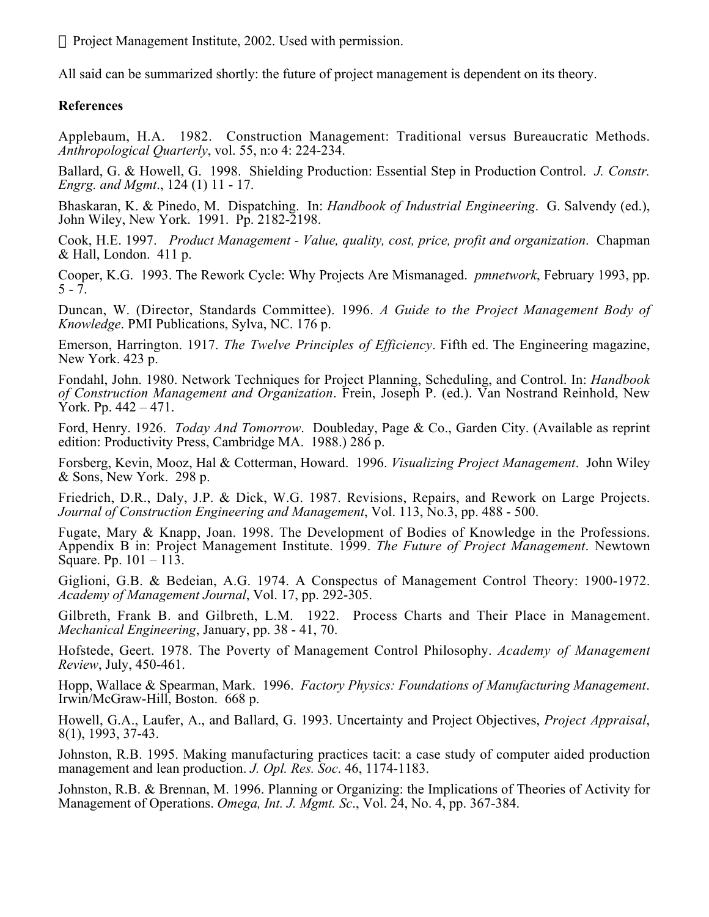All said can be summarized shortly: the future of project management is dependent on its theory.

# **References**

Applebaum, H.A. 1982. Construction Management: Traditional versus Bureaucratic Methods. *Anthropological Quarterly*, vol. 55, n:o 4: 224-234.

Ballard, G. & Howell, G. 1998. Shielding Production: Essential Step in Production Control. *J. Constr. Engrg. and Mgmt*., 124 (1) 11 - 17.

Bhaskaran, K. & Pinedo, M. Dispatching. In: *Handbook of Industrial Engineering*. G. Salvendy (ed.), John Wiley, New York. 1991. Pp. 2182-2198.

Cook, H.E. 1997. *Product Management - Value, quality, cost, price, profit and organization*. Chapman & Hall, London. 411 p.

Cooper, K.G. 1993. The Rework Cycle: Why Projects Are Mismanaged. *pmnetwork*, February 1993, pp.  $5 - 7.$ 

Duncan, W. (Director, Standards Committee). 1996. *A Guide to the Project Management Body of Knowledge*. PMI Publications, Sylva, NC. 176 p.

Emerson, Harrington. 1917. *The Twelve Principles of Efficiency*. Fifth ed. The Engineering magazine, New York. 423 p.

Fondahl, John. 1980. Network Techniques for Project Planning, Scheduling, and Control. In: *Handbook of Construction Management and Organization*. Frein, Joseph P. (ed.). Van Nostrand Reinhold, New York. Pp. 442 – 471.

Ford, Henry. 1926. *Today And Tomorrow*. Doubleday, Page & Co., Garden City. (Available as reprint edition: Productivity Press, Cambridge MA. 1988.) 286 p.

Forsberg, Kevin, Mooz, Hal & Cotterman, Howard. 1996. *Visualizing Project Management*. John Wiley & Sons, New York. 298 p.

Friedrich, D.R., Daly, J.P. & Dick, W.G. 1987. Revisions, Repairs, and Rework on Large Projects. *Journal of Construction Engineering and Management*, Vol. 113, No.3, pp. 488 - 500.

Fugate, Mary & Knapp, Joan. 1998. The Development of Bodies of Knowledge in the Professions. Appendix B in: Project Management Institute. 1999. *The Future of Project Management*. Newtown Square. Pp. 101 – 113.

Giglioni, G.B. & Bedeian, A.G. 1974. A Conspectus of Management Control Theory: 1900-1972. *Academy of Management Journal*, Vol. 17, pp. 292-305.

Gilbreth, Frank B. and Gilbreth, L.M. 1922. Process Charts and Their Place in Management. *Mechanical Engineering*, January, pp. 38 - 41, 70.

Hofstede, Geert. 1978. The Poverty of Management Control Philosophy. *Academy of Management Review*, July, 450-461.

Hopp, Wallace & Spearman, Mark. 1996. *Factory Physics: Foundations of Manufacturing Management*. Irwin/McGraw-Hill, Boston. 668 p.

Howell, G.A., Laufer, A., and Ballard, G. 1993. Uncertainty and Project Objectives, *Project Appraisal*, 8(1), 1993, 37-43.

Johnston, R.B. 1995. Making manufacturing practices tacit: a case study of computer aided production management and lean production. *J. Opl. Res. Soc*. 46, 1174-1183.

Johnston, R.B. & Brennan, M. 1996. Planning or Organizing: the Implications of Theories of Activity for Management of Operations. *Omega, Int. J. Mgmt. Sc*., Vol. 24, No. 4, pp. 367-384.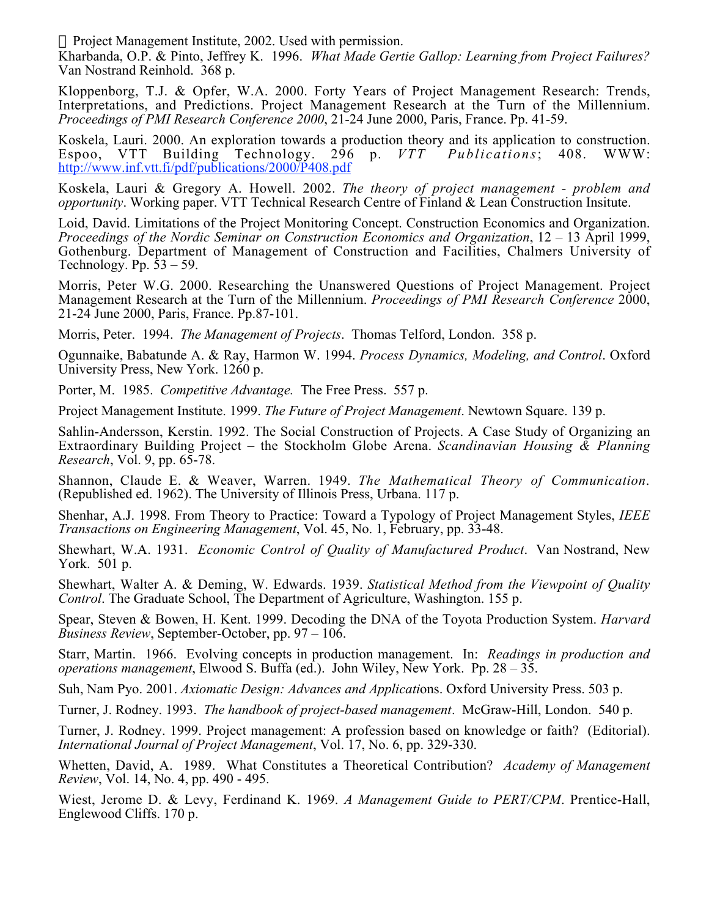Kharbanda, O.P. & Pinto, Jeffrey K. 1996. *What Made Gertie Gallop: Learning from Project Failures?* Van Nostrand Reinhold. 368 p.

Kloppenborg, T.J. & Opfer, W.A. 2000. Forty Years of Project Management Research: Trends, Interpretations, and Predictions. Project Management Research at the Turn of the Millennium. *Proceedings of PMI Research Conference 2000*, 21-24 June 2000, Paris, France. Pp. 41-59.

Koskela, Lauri. 2000. An exploration towards a production theory and its application to construction.<br>Espoo, VTT Building Technology. 296 p. VTT Publications: 408. WWW: Espoo, VTT Building Technology. 296 p. *VTT Publications*; 408. WWW: http://www.inf.vtt.fi/pdf/publications/2000/P408.pdf

Koskela, Lauri & Gregory A. Howell. 2002. *The theory of project management - problem and opportunity*. Working paper. VTT Technical Research Centre of Finland & Lean Construction Insitute.

Loid, David. Limitations of the Project Monitoring Concept. Construction Economics and Organization. *Proceedings of the Nordic Seminar on Construction Economics and Organization*, 12 – 13 April 1999, Gothenburg. Department of Management of Construction and Facilities, Chalmers University of Technology. Pp.  $53 - 59$ .

Morris, Peter W.G. 2000. Researching the Unanswered Questions of Project Management. Project Management Research at the Turn of the Millennium. *Proceedings of PMI Research Conference* 2000, 21-24 June 2000, Paris, France. Pp.87-101.

Morris, Peter. 1994. *The Management of Projects*. Thomas Telford, London. 358 p.

Ogunnaike, Babatunde A. & Ray, Harmon W. 1994. *Process Dynamics, Modeling, and Control*. Oxford University Press, New York. 1260 p.

Porter, M. 1985. *Competitive Advantage.* The Free Press. 557 p.

Project Management Institute. 1999. *The Future of Project Management*. Newtown Square. 139 p.

Sahlin-Andersson, Kerstin. 1992. The Social Construction of Projects. A Case Study of Organizing an Extraordinary Building Project – the Stockholm Globe Arena. *Scandinavian Housing & Planning Research*, Vol. 9, pp. 65-78.

Shannon, Claude E. & Weaver, Warren. 1949. *The Mathematical Theory of Communication*. (Republished ed. 1962). The University of Illinois Press, Urbana. 117 p.

Shenhar, A.J. 1998. From Theory to Practice: Toward a Typology of Project Management Styles, *IEEE Transactions on Engineering Management*, Vol. 45, No. 1, February, pp. 33-48.

Shewhart, W.A. 1931. *Economic Control of Quality of Manufactured Product*. Van Nostrand, New York. 501 p.

Shewhart, Walter A. & Deming, W. Edwards. 1939. *Statistical Method from the Viewpoint of Quality Control*. The Graduate School, The Department of Agriculture, Washington. 155 p.

Spear, Steven & Bowen, H. Kent. 1999. Decoding the DNA of the Toyota Production System. *Harvard Business Review*, September-October, pp. 97 – 106.

Starr, Martin. 1966. Evolving concepts in production management. In: *Readings in production and operations management*, Elwood S. Buffa (ed.). John Wiley, New York. Pp. 28 – 35.

Suh, Nam Pyo. 2001. *Axiomatic Design: Advances and Applicati*ons. Oxford University Press. 503 p.

Turner, J. Rodney. 1993. *The handbook of project-based management*. McGraw-Hill, London. 540 p.

Turner, J. Rodney. 1999. Project management: A profession based on knowledge or faith? (Editorial). *International Journal of Project Management*, Vol. 17, No. 6, pp. 329-330.

Whetten, David, A. 1989. What Constitutes a Theoretical Contribution? *Academy of Management Review*, Vol. 14, No. 4, pp. 490 - 495.

Wiest, Jerome D. & Levy, Ferdinand K. 1969. *A Management Guide to PERT/CPM*. Prentice-Hall, Englewood Cliffs. 170 p.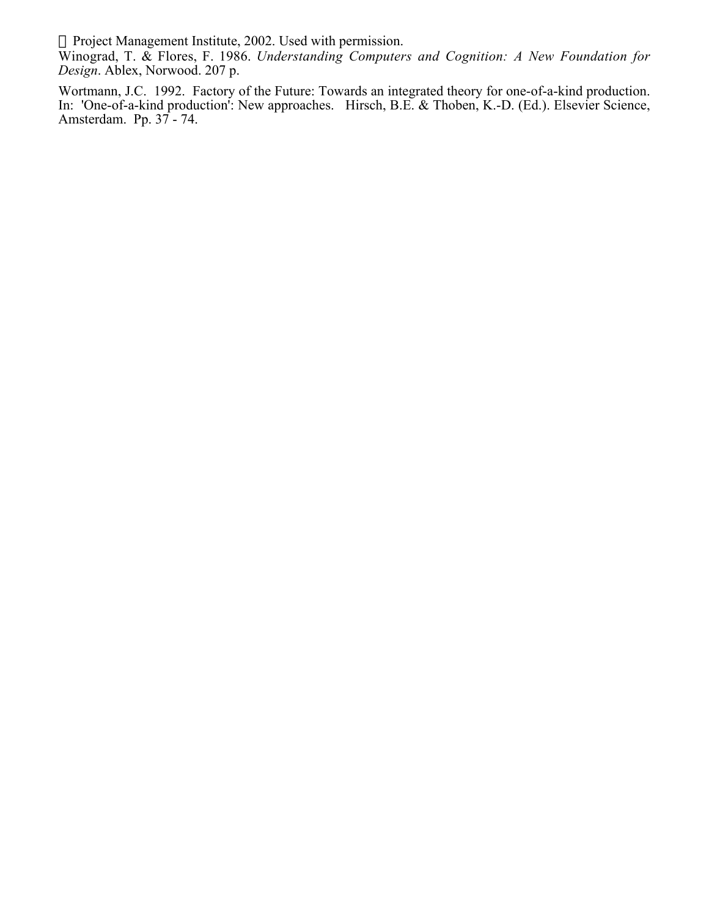Winograd, T. & Flores, F. 1986. *Understanding Computers and Cognition: A New Foundation for Design*. Ablex, Norwood. 207 p.

Wortmann, J.C. 1992. Factory of the Future: Towards an integrated theory for one-of-a-kind production. In: 'One-of-a-kind production': New approaches. Hirsch, B.E. & Thoben, K.-D. (Ed.). Elsevier Science, Amsterdam. Pp. 37 - 74.